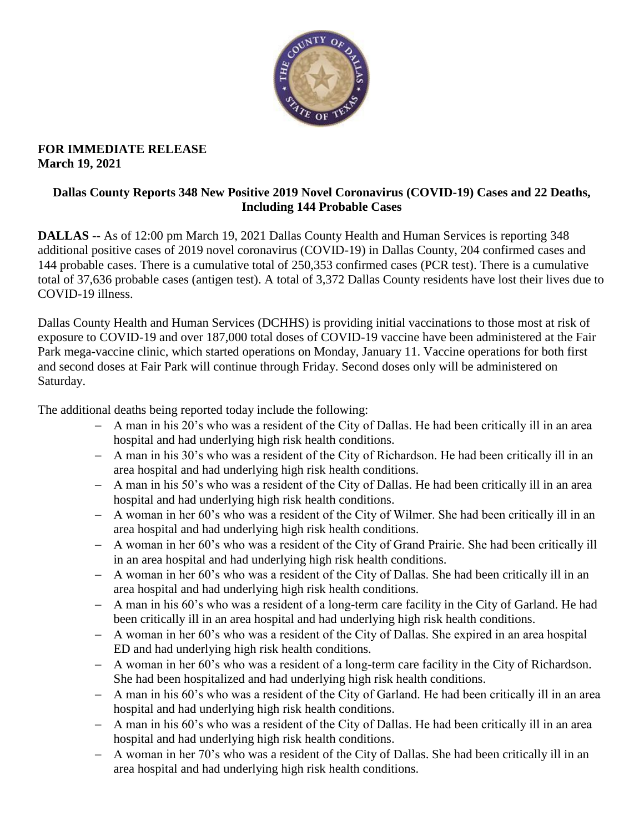

### **FOR IMMEDIATE RELEASE March 19, 2021**

## **Dallas County Reports 348 New Positive 2019 Novel Coronavirus (COVID-19) Cases and 22 Deaths, Including 144 Probable Cases**

**DALLAS** -- As of 12:00 pm March 19, 2021 Dallas County Health and Human Services is reporting 348 additional positive cases of 2019 novel coronavirus (COVID-19) in Dallas County, 204 confirmed cases and 144 probable cases. There is a cumulative total of 250,353 confirmed cases (PCR test). There is a cumulative total of 37,636 probable cases (antigen test). A total of 3,372 Dallas County residents have lost their lives due to COVID-19 illness.

Dallas County Health and Human Services (DCHHS) is providing initial vaccinations to those most at risk of exposure to COVID-19 and over 187,000 total doses of COVID-19 vaccine have been administered at the Fair Park mega-vaccine clinic, which started operations on Monday, January 11. Vaccine operations for both first and second doses at Fair Park will continue through Friday. Second doses only will be administered on Saturday.

The additional deaths being reported today include the following:

- A man in his 20's who was a resident of the City of Dallas. He had been critically ill in an area hospital and had underlying high risk health conditions.
- A man in his 30's who was a resident of the City of Richardson. He had been critically ill in an area hospital and had underlying high risk health conditions.
- A man in his 50's who was a resident of the City of Dallas. He had been critically ill in an area hospital and had underlying high risk health conditions.
- A woman in her 60's who was a resident of the City of Wilmer. She had been critically ill in an area hospital and had underlying high risk health conditions.
- A woman in her 60's who was a resident of the City of Grand Prairie. She had been critically ill in an area hospital and had underlying high risk health conditions.
- A woman in her 60's who was a resident of the City of Dallas. She had been critically ill in an area hospital and had underlying high risk health conditions.
- A man in his 60's who was a resident of a long-term care facility in the City of Garland. He had been critically ill in an area hospital and had underlying high risk health conditions.
- A woman in her 60's who was a resident of the City of Dallas. She expired in an area hospital ED and had underlying high risk health conditions.
- A woman in her 60's who was a resident of a long-term care facility in the City of Richardson. She had been hospitalized and had underlying high risk health conditions.
- A man in his 60's who was a resident of the City of Garland. He had been critically ill in an area hospital and had underlying high risk health conditions.
- A man in his 60's who was a resident of the City of Dallas. He had been critically ill in an area hospital and had underlying high risk health conditions.
- A woman in her 70's who was a resident of the City of Dallas. She had been critically ill in an area hospital and had underlying high risk health conditions.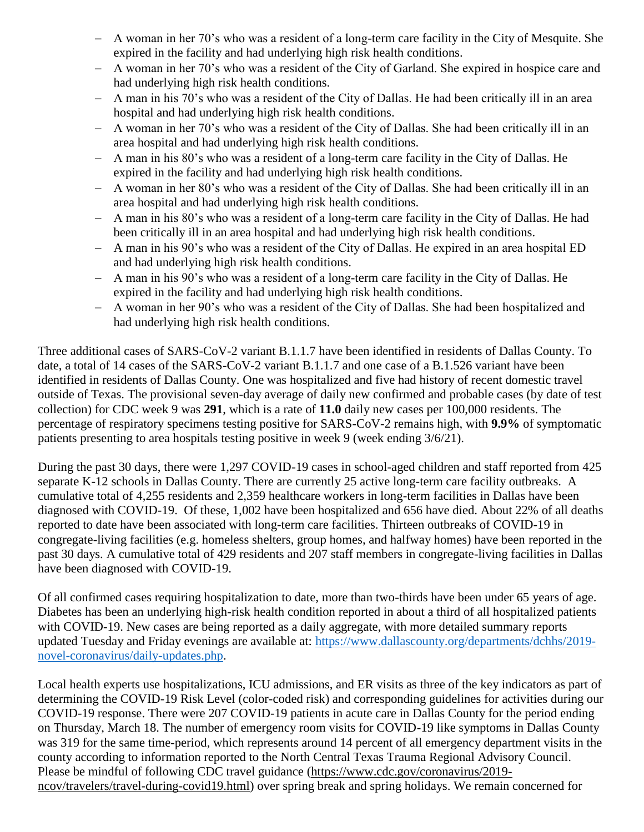- A woman in her 70's who was a resident of a long-term care facility in the City of Mesquite. She expired in the facility and had underlying high risk health conditions.
- A woman in her 70's who was a resident of the City of Garland. She expired in hospice care and had underlying high risk health conditions.
- A man in his 70's who was a resident of the City of Dallas. He had been critically ill in an area hospital and had underlying high risk health conditions.
- A woman in her 70's who was a resident of the City of Dallas. She had been critically ill in an area hospital and had underlying high risk health conditions.
- A man in his 80's who was a resident of a long-term care facility in the City of Dallas. He expired in the facility and had underlying high risk health conditions.
- A woman in her 80's who was a resident of the City of Dallas. She had been critically ill in an area hospital and had underlying high risk health conditions.
- A man in his 80's who was a resident of a long-term care facility in the City of Dallas. He had been critically ill in an area hospital and had underlying high risk health conditions.
- A man in his 90's who was a resident of the City of Dallas. He expired in an area hospital ED and had underlying high risk health conditions.
- A man in his 90's who was a resident of a long-term care facility in the City of Dallas. He expired in the facility and had underlying high risk health conditions.
- A woman in her 90's who was a resident of the City of Dallas. She had been hospitalized and had underlying high risk health conditions.

Three additional cases of SARS-CoV-2 variant B.1.1.7 have been identified in residents of Dallas County. To date, a total of 14 cases of the SARS-CoV-2 variant B.1.1.7 and one case of a B.1.526 variant have been identified in residents of Dallas County. One was hospitalized and five had history of recent domestic travel outside of Texas. The provisional seven-day average of daily new confirmed and probable cases (by date of test collection) for CDC week 9 was **291**, which is a rate of **11.0** daily new cases per 100,000 residents. The percentage of respiratory specimens testing positive for SARS-CoV-2 remains high, with **9.9%** of symptomatic patients presenting to area hospitals testing positive in week 9 (week ending 3/6/21).

During the past 30 days, there were 1,297 COVID-19 cases in school-aged children and staff reported from 425 separate K-12 schools in Dallas County. There are currently 25 active long-term care facility outbreaks. A cumulative total of 4,255 residents and 2,359 healthcare workers in long-term facilities in Dallas have been diagnosed with COVID-19. Of these, 1,002 have been hospitalized and 656 have died. About 22% of all deaths reported to date have been associated with long-term care facilities. Thirteen outbreaks of COVID-19 in congregate-living facilities (e.g. homeless shelters, group homes, and halfway homes) have been reported in the past 30 days. A cumulative total of 429 residents and 207 staff members in congregate-living facilities in Dallas have been diagnosed with COVID-19.

Of all confirmed cases requiring hospitalization to date, more than two-thirds have been under 65 years of age. Diabetes has been an underlying high-risk health condition reported in about a third of all hospitalized patients with COVID-19. New cases are being reported as a daily aggregate, with more detailed summary reports updated Tuesday and Friday evenings are available at: [https://www.dallascounty.org/departments/dchhs/2019](https://www.dallascounty.org/departments/dchhs/2019-novel-coronavirus/daily-updates.php) [novel-coronavirus/daily-updates.php.](https://www.dallascounty.org/departments/dchhs/2019-novel-coronavirus/daily-updates.php)

Local health experts use hospitalizations, ICU admissions, and ER visits as three of the key indicators as part of determining the COVID-19 Risk Level (color-coded risk) and corresponding guidelines for activities during our COVID-19 response. There were 207 COVID-19 patients in acute care in Dallas County for the period ending on Thursday, March 18. The number of emergency room visits for COVID-19 like symptoms in Dallas County was 319 for the same time-period, which represents around 14 percent of all emergency department visits in the county according to information reported to the North Central Texas Trauma Regional Advisory Council. Please be mindful of following CDC travel guidance [\(https://www.cdc.gov/coronavirus/2019](https://www.cdc.gov/coronavirus/2019-ncov/travelers/travel-during-covid19.html) [ncov/travelers/travel-during-covid19.html\)](https://www.cdc.gov/coronavirus/2019-ncov/travelers/travel-during-covid19.html) over spring break and spring holidays. We remain concerned for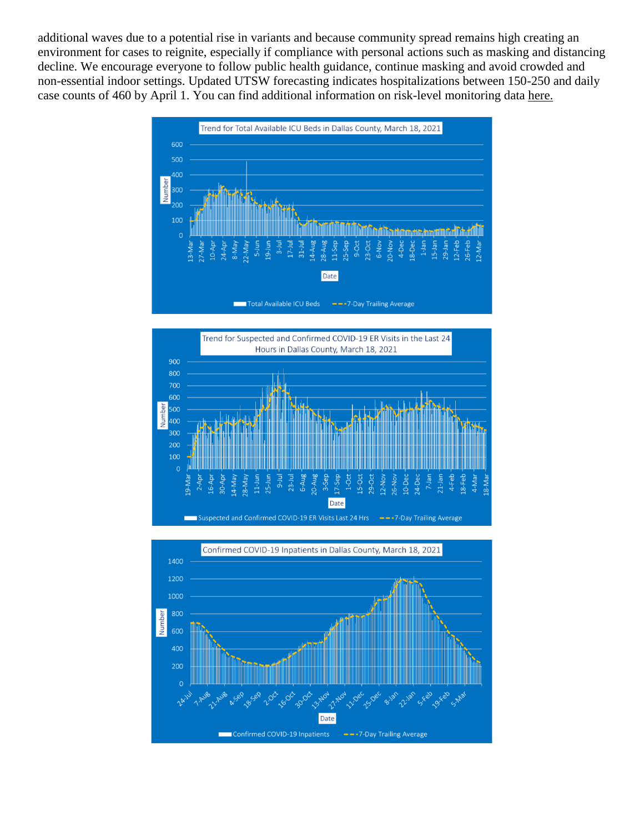additional waves due to a potential rise in variants and because community spread remains high creating an environment for cases to reignite, especially if compliance with personal actions such as masking and distancing decline. We encourage everyone to follow public health guidance, continue masking and avoid crowded and non-essential indoor settings. Updated UTSW forecasting indicates hospitalizations between 150-250 and daily case counts of 460 by April 1. You can find additional information on risk-level monitoring data [here.](https://www.dallascounty.org/Assets/uploads/docs/hhs/2019-nCoV/C-19-risklevelmgmt/031821-DallasCounty-COVID-19-Hospitalization-Data.pdf)





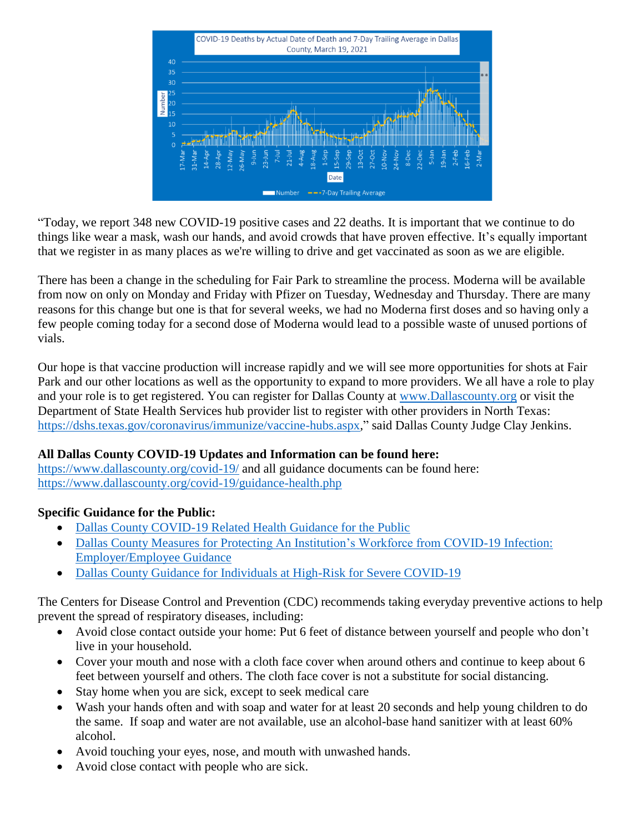

"Today, we report 348 new COVID-19 positive cases and 22 deaths. It is important that we continue to do things like wear a mask, wash our hands, and avoid crowds that have proven effective. It's equally important that we register in as many places as we're willing to drive and get vaccinated as soon as we are eligible.

There has been a change in the scheduling for Fair Park to streamline the process. Moderna will be available from now on only on Monday and Friday with Pfizer on Tuesday, Wednesday and Thursday. There are many reasons for this change but one is that for several weeks, we had no Moderna first doses and so having only a few people coming today for a second dose of Moderna would lead to a possible waste of unused portions of vials.

Our hope is that vaccine production will increase rapidly and we will see more opportunities for shots at Fair Park and our other locations as well as the opportunity to expand to more providers. We all have a role to play and your role is to get registered. You can register for Dallas County at [www.Dallascounty.org](http://www.dallascounty.org/) or visit the Department of State Health Services hub provider list to register with other providers in North Texas: [https://dshs.texas.gov/coronavirus/immunize/vaccine-hubs.aspx,](https://dshs.texas.gov/coronavirus/immunize/vaccine-hubs.aspx)" said Dallas County Judge Clay Jenkins.

## **All Dallas County COVID-19 Updates and Information can be found here:**

<https://www.dallascounty.org/covid-19/> and all guidance documents can be found here: <https://www.dallascounty.org/covid-19/guidance-health.php>

### **Specific Guidance for the Public:**

- [Dallas County COVID-19 Related Health Guidance for the Public](https://www.dallascounty.org/Assets/uploads/docs/covid-19/community/Dallas-CovidGeneralGuidelines-060620.pdf)
- [Dallas County Measures for Protecting An Institution's Workforce from COVID-19 Infection:](https://www.dallascounty.org/Assets/uploads/docs/covid-19/community/Dallas_Covid_Employer_Guidance_FINAL.pdf)  [Employer/Employee Guidance](https://www.dallascounty.org/Assets/uploads/docs/covid-19/community/Dallas_Covid_Employer_Guidance_FINAL.pdf)
- [Dallas County Guidance for Individuals at High-Risk for Severe COVID-19](https://www.dallascounty.org/Assets/uploads/docs/covid-19/community/Dallas_HighRiskGuidelines.pdf)

The Centers for Disease Control and Prevention (CDC) recommends taking everyday preventive actions to help prevent the spread of respiratory diseases, including:

- Avoid close contact outside your home: Put 6 feet of distance between yourself and people who don't live in your household.
- Cover your mouth and nose with a cloth face cover when around others and continue to keep about 6 feet between yourself and others. The cloth face cover is not a substitute for social distancing.
- Stay home when you are sick, except to seek medical care
- Wash your hands often and with soap and water for at least 20 seconds and help young children to do the same. If soap and water are not available, use an alcohol-base hand sanitizer with at least 60% alcohol.
- Avoid touching your eyes, nose, and mouth with unwashed hands.
- Avoid close contact with people who are sick.